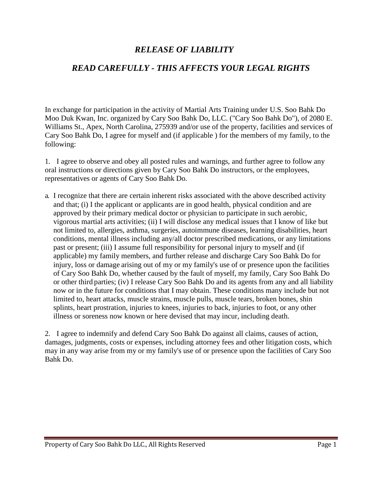## *RELEASE OF LIABILITY*

## *READ CAREFULLY - THIS AFFECTS YOUR LEGAL RIGHTS*

In exchange for participation in the activity of Martial Arts Training under U.S. Soo Bahk Do Moo Duk Kwan, Inc. organized by Cary Soo Bahk Do, LLC. ("Cary Soo Bahk Do"), of 2080 E. Williams St., Apex, North Carolina, 275939 and/or use of the property, facilities and services of Cary Soo Bahk Do, I agree for myself and (if applicable ) for the members of my family, to the following:

1. I agree to observe and obey all posted rules and warnings, and further agree to follow any oral instructions or directions given by Cary Soo Bahk Do instructors, or the employees, representatives or agents of Cary Soo Bahk Do.

a. I recognize that there are certain inherent risks associated with the above described activity and that; (i) I the applicant or applicants are in good health, physical condition and are approved by their primary medical doctor or physician to participate in such aerobic, vigorous martial arts activities; (ii) I will disclose any medical issues that I know of like but not limited to, allergies, asthma, surgeries, autoimmune diseases, learning disabilities, heart conditions, mental illness including any/all doctor prescribed medications, or any limitations past or present; (iii) I assume full responsibility for personal injury to myself and (if applicable) my family members, and further release and discharge Cary Soo Bahk Do for injury, loss or damage arising out of my or my family's use of or presence upon the facilities of Cary Soo Bahk Do, whether caused by the fault of myself, my family, Cary Soo Bahk Do or other third parties; (iv) I release Cary Soo Bahk Do and its agents from any and all liability now or in the future for conditions that I may obtain. These conditions many include but not limited to, heart attacks, muscle strains, muscle pulls, muscle tears, broken bones, shin splints, heart prostration, injuries to knees, injuries to back, injuries to foot, or any other illness or soreness now known or here devised that may incur, including death.

2. I agree to indemnify and defend Cary Soo Bahk Do against all claims, causes of action, damages, judgments, costs or expenses, including attorney fees and other litigation costs, which may in any way arise from my or my family's use of or presence upon the facilities of Cary Soo Bahk Do.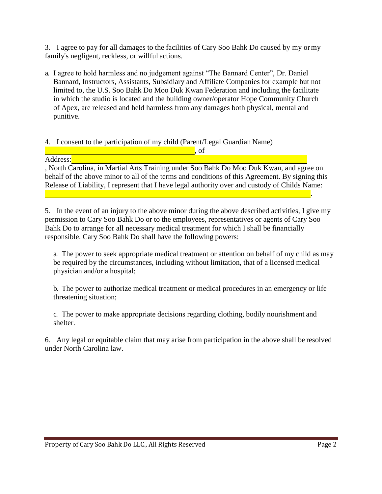3. I agree to pay for all damages to the facilities of Cary Soo Bahk Do caused by my ormy family's negligent, reckless, or willful actions.

a. I agree to hold harmless and no judgement against "The Bannard Center", Dr. Daniel Bannard, Instructors, Assistants, Subsidiary and Affiliate Companies for example but not limited to, the U.S. Soo Bahk Do Moo Duk Kwan Federation and including the facilitate in which the studio is located and the building owner/operator Hope Community Church of Apex, are released and held harmless from any damages both physical, mental and punitive.

## 4. I consent to the participation of my child (Parent/Legal Guardian Name)

, or the contract of  $\mathcal{L}$  ,  $\mathcal{L}$  ,  $\mathcal{L}$  ,  $\mathcal{L}$  ,  $\mathcal{L}$  ,  $\mathcal{L}$  ,  $\mathcal{L}$ 

Address:

, North Carolina, in Martial Arts Training under Soo Bahk Do Moo Duk Kwan, and agree on behalf of the above minor to all of the terms and conditions of this Agreement. By signing this Release of Liability, I represent that I have legal authority over and custody of Childs Name: .

5. In the event of an injury to the above minor during the above described activities, I give my permission to Cary Soo Bahk Do or to the employees, representatives or agents of Cary Soo Bahk Do to arrange for all necessary medical treatment for which I shall be financially responsible. Cary Soo Bahk Do shall have the following powers:

a. The power to seek appropriate medical treatment or attention on behalf of my child as may be required by the circumstances, including without limitation, that of a licensed medical physician and/or a hospital;

b. The power to authorize medical treatment or medical procedures in an emergency or life threatening situation;

c. The power to make appropriate decisions regarding clothing, bodily nourishment and shelter.

6. Any legal or equitable claim that may arise from participation in the above shall be resolved under North Carolina law.